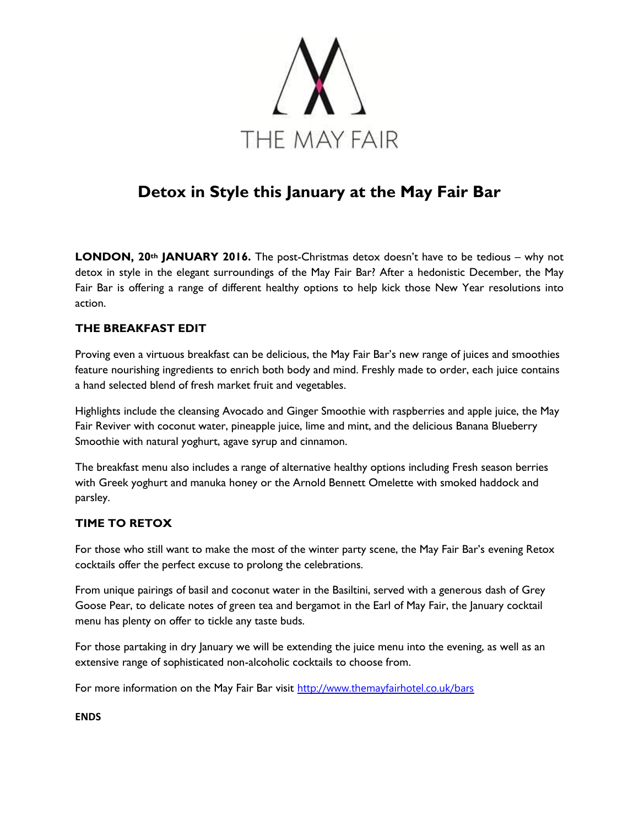

# **Detox in Style this January at the May Fair Bar**

**LONDON, 20th JANUARY 2016.** The post-Christmas detox doesn't have to be tedious – why not detox in style in the elegant surroundings of the May Fair Bar? After a hedonistic December, the May Fair Bar is offering a range of different healthy options to help kick those New Year resolutions into action.

## **THE BREAKFAST EDIT**

Proving even a virtuous breakfast can be delicious, the May Fair Bar's new range of juices and smoothies feature nourishing ingredients to enrich both body and mind. Freshly made to order, each juice contains a hand selected blend of fresh market fruit and vegetables.

Highlights include the cleansing Avocado and Ginger Smoothie with raspberries and apple juice, the May Fair Reviver with coconut water, pineapple juice, lime and mint, and the delicious Banana Blueberry Smoothie with natural yoghurt, agave syrup and cinnamon.

The breakfast menu also includes a range of alternative healthy options including Fresh season berries with Greek yoghurt and manuka honey or the Arnold Bennett Omelette with smoked haddock and parsley.

#### **TIME TO RETOX**

For those who still want to make the most of the winter party scene, the May Fair Bar's evening Retox cocktails offer the perfect excuse to prolong the celebrations.

From unique pairings of basil and coconut water in the Basiltini, served with a generous dash of Grey Goose Pear, to delicate notes of green tea and bergamot in the Earl of May Fair, the January cocktail menu has plenty on offer to tickle any taste buds.

For those partaking in dry January we will be extending the juice menu into the evening, as well as an extensive range of sophisticated non-alcoholic cocktails to choose from.

For more information on the May Fair Bar visit <http://www.themayfairhotel.co.uk/bars>

**ENDS**